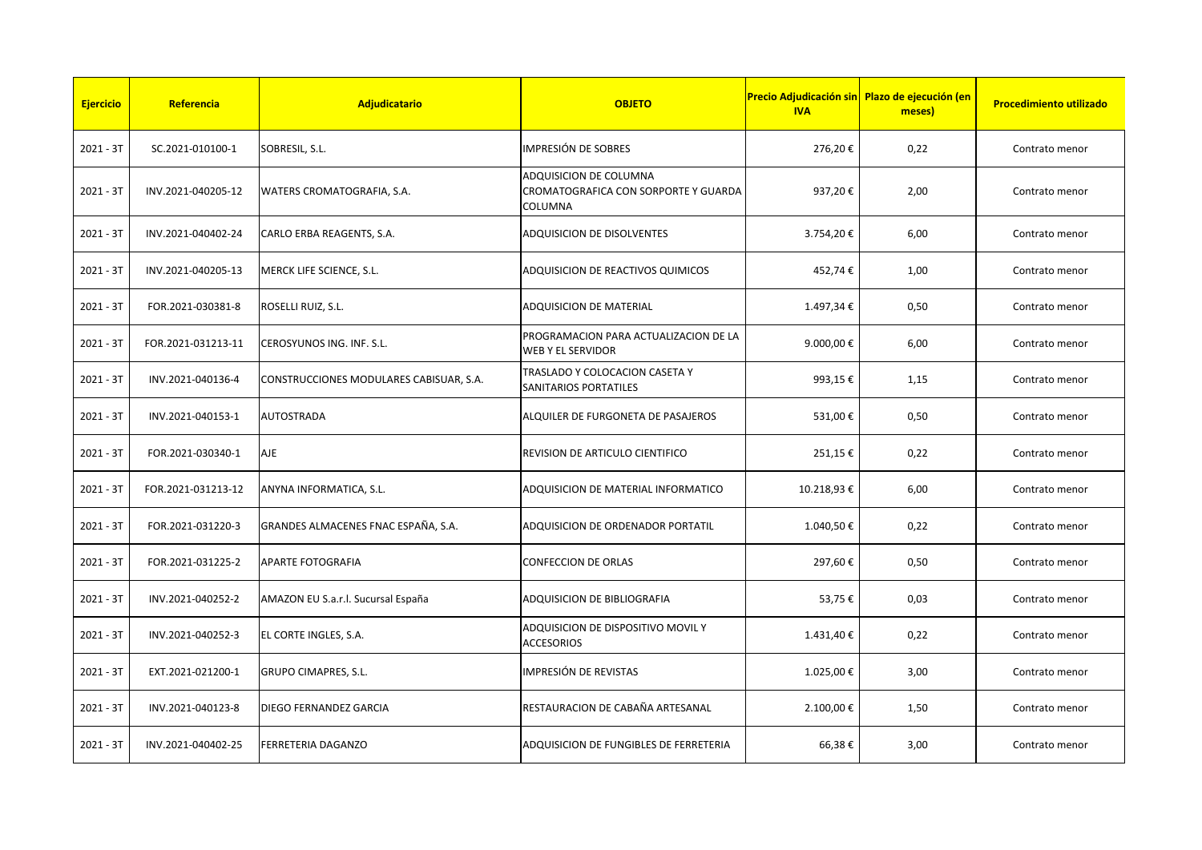| <b>Ejercicio</b> | Referencia         | <b>Adjudicatario</b>                    | <b>OBJETO</b>                                                             | <b>IVA</b> | Precio Adjudicación sin Plazo de ejecución (en<br>meses) | <b>Procedimiento utilizado</b> |
|------------------|--------------------|-----------------------------------------|---------------------------------------------------------------------------|------------|----------------------------------------------------------|--------------------------------|
| $2021 - 3T$      | SC.2021-010100-1   | SOBRESIL, S.L.                          | <b>IMPRESIÓN DE SOBRES</b>                                                | 276,20€    | 0,22                                                     | Contrato menor                 |
| $2021 - 3T$      | INV.2021-040205-12 | WATERS CROMATOGRAFIA, S.A.              | ADQUISICION DE COLUMNA<br>CROMATOGRAFICA CON SORPORTE Y GUARDA<br>COLUMNA | 937,20€    | 2,00                                                     | Contrato menor                 |
| $2021 - 3T$      | INV.2021-040402-24 | CARLO ERBA REAGENTS, S.A.               | ADQUISICION DE DISOLVENTES                                                | 3.754,20€  | 6,00                                                     | Contrato menor                 |
| $2021 - 3T$      | INV.2021-040205-13 | MERCK LIFE SCIENCE, S.L.                | ADQUISICION DE REACTIVOS QUIMICOS                                         | 452,74€    | 1,00                                                     | Contrato menor                 |
| $2021 - 3T$      | FOR.2021-030381-8  | ROSELLI RUIZ, S.L.                      | <b>ADQUISICION DE MATERIAL</b>                                            | 1.497,34 € | 0,50                                                     | Contrato menor                 |
| $2021 - 3T$      | FOR.2021-031213-11 | CEROSYUNOS ING. INF. S.L.               | PROGRAMACION PARA ACTUALIZACION DE LA<br>WEB Y EL SERVIDOR                | 9.000,00 € | 6,00                                                     | Contrato menor                 |
| $2021 - 3T$      | INV.2021-040136-4  | CONSTRUCCIONES MODULARES CABISUAR, S.A. | TRASLADO Y COLOCACION CASETA Y<br>SANITARIOS PORTATILES                   | 993,15€    | 1,15                                                     | Contrato menor                 |
| $2021 - 3T$      | INV.2021-040153-1  | <b>AUTOSTRADA</b>                       | ALQUILER DE FURGONETA DE PASAJEROS                                        | 531,00€    | 0,50                                                     | Contrato menor                 |
| $2021 - 3T$      | FOR.2021-030340-1  | AJE                                     | REVISION DE ARTICULO CIENTIFICO                                           | 251,15€    | 0,22                                                     | Contrato menor                 |
| $2021 - 3T$      | FOR.2021-031213-12 | ANYNA INFORMATICA, S.L.                 | ADQUISICION DE MATERIAL INFORMATICO                                       | 10.218,93€ | 6,00                                                     | Contrato menor                 |
| $2021 - 3T$      | FOR.2021-031220-3  | GRANDES ALMACENES FNAC ESPAÑA, S.A.     | ADQUISICION DE ORDENADOR PORTATIL                                         | 1.040,50 € | 0,22                                                     | Contrato menor                 |
| $2021 - 3T$      | FOR.2021-031225-2  | <b>APARTE FOTOGRAFIA</b>                | <b>CONFECCION DE ORLAS</b>                                                | 297,60€    | 0,50                                                     | Contrato menor                 |
| $2021 - 3T$      | INV.2021-040252-2  | AMAZON EU S.a.r.l. Sucursal España      | ADQUISICION DE BIBLIOGRAFIA                                               | 53,75€     | 0,03                                                     | Contrato menor                 |
| $2021 - 3T$      | INV.2021-040252-3  | EL CORTE INGLES, S.A.                   | ADQUISICION DE DISPOSITIVO MOVIL Y<br><b>ACCESORIOS</b>                   | 1.431,40€  | 0,22                                                     | Contrato menor                 |
| $2021 - 3T$      | EXT.2021-021200-1  | <b>GRUPO CIMAPRES, S.L.</b>             | IMPRESIÓN DE REVISTAS                                                     | 1.025,00 € | 3,00                                                     | Contrato menor                 |
| $2021 - 3T$      | INV.2021-040123-8  | <b>DIEGO FERNANDEZ GARCIA</b>           | RESTAURACION DE CABAÑA ARTESANAL                                          | 2.100,00€  | 1,50                                                     | Contrato menor                 |
| $2021 - 3T$      | INV.2021-040402-25 | <b>FERRETERIA DAGANZO</b>               | ADQUISICION DE FUNGIBLES DE FERRETERIA                                    | 66,38€     | 3,00                                                     | Contrato menor                 |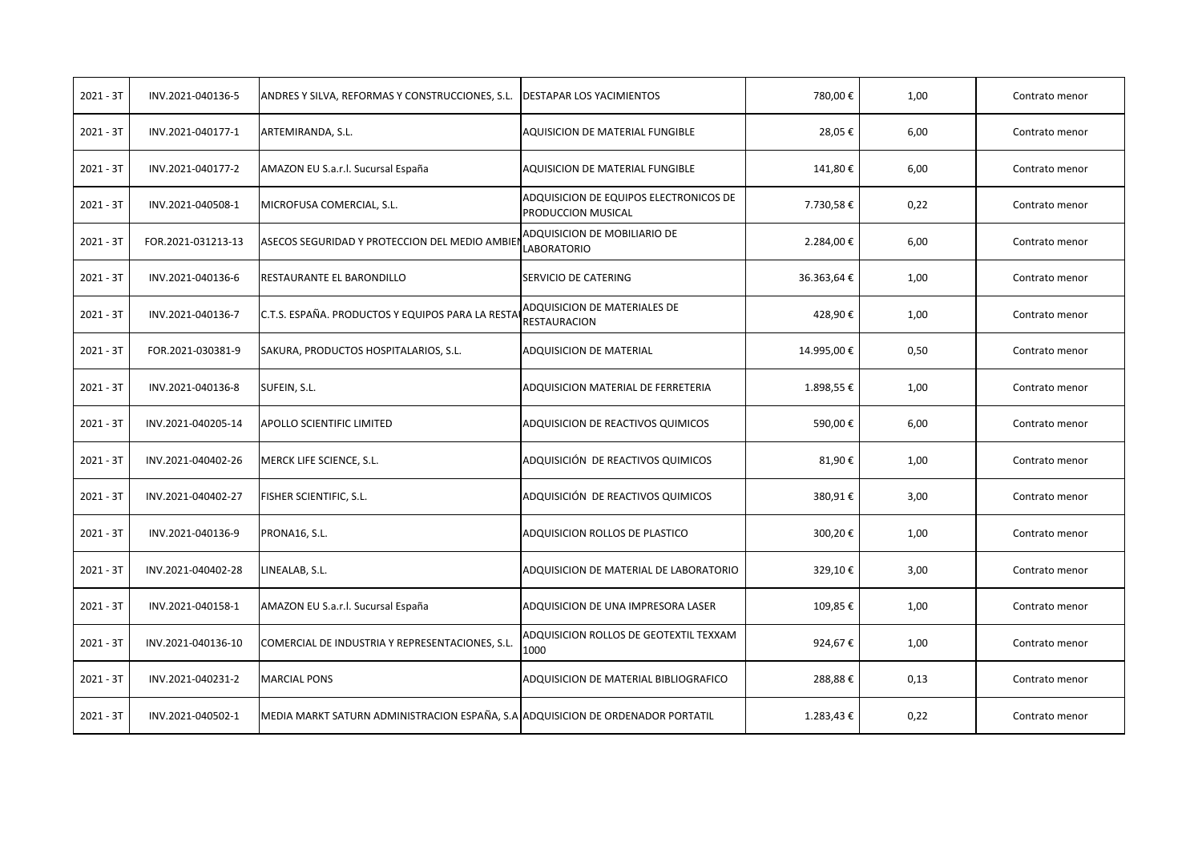| $2021 - 3T$ | INV.2021-040136-5  | ANDRES Y SILVA, REFORMAS Y CONSTRUCCIONES, S.L.                                 | DESTAPAR LOS YACIMIENTOS                                     | 780,00€    | 1,00 | Contrato menor |
|-------------|--------------------|---------------------------------------------------------------------------------|--------------------------------------------------------------|------------|------|----------------|
| $2021 - 3T$ | INV.2021-040177-1  | ARTEMIRANDA, S.L.                                                               | AQUISICION DE MATERIAL FUNGIBLE                              | 28,05€     | 6,00 | Contrato menor |
| $2021 - 3T$ | INV.2021-040177-2  | AMAZON EU S.a.r.l. Sucursal España                                              | AQUISICION DE MATERIAL FUNGIBLE                              | 141,80€    | 6,00 | Contrato menor |
| $2021 - 3T$ | INV.2021-040508-1  | MICROFUSA COMERCIAL, S.L.                                                       | ADQUISICION DE EQUIPOS ELECTRONICOS DE<br>PRODUCCION MUSICAL | 7.730,58€  | 0,22 | Contrato menor |
| $2021 - 3T$ | FOR.2021-031213-13 | ASECOS SEGURIDAD Y PROTECCION DEL MEDIO AMBIE                                   | ADQUISICION DE MOBILIARIO DE<br>LABORATORIO                  | 2.284,00€  | 6,00 | Contrato menor |
| $2021 - 3T$ | INV.2021-040136-6  | RESTAURANTE EL BARONDILLO                                                       | SERVICIO DE CATERING                                         | 36.363,64€ | 1,00 | Contrato menor |
| $2021 - 3T$ | INV.2021-040136-7  | C.T.S. ESPAÑA. PRODUCTOS Y EQUIPOS PARA LA RESTA                                | ADQUISICION DE MATERIALES DE<br>RESTAURACION                 | 428,90€    | 1,00 | Contrato menor |
| $2021 - 3T$ | FOR.2021-030381-9  | SAKURA, PRODUCTOS HOSPITALARIOS, S.L.                                           | ADQUISICION DE MATERIAL                                      | 14.995,00€ | 0,50 | Contrato menor |
| $2021 - 3T$ | INV.2021-040136-8  | SUFEIN, S.L.                                                                    | ADQUISICION MATERIAL DE FERRETERIA                           | 1.898,55€  | 1,00 | Contrato menor |
| $2021 - 3T$ | INV.2021-040205-14 | APOLLO SCIENTIFIC LIMITED                                                       | ADQUISICION DE REACTIVOS QUIMICOS                            | 590,00€    | 6,00 | Contrato menor |
| $2021 - 3T$ | INV.2021-040402-26 | MERCK LIFE SCIENCE, S.L.                                                        | ADQUISICIÓN DE REACTIVOS QUIMICOS                            | 81,90€     | 1,00 | Contrato menor |
| $2021 - 3T$ | INV.2021-040402-27 | FISHER SCIENTIFIC, S.L.                                                         | ADQUISICIÓN DE REACTIVOS QUIMICOS                            | 380,91€    | 3,00 | Contrato menor |
| $2021 - 3T$ | INV.2021-040136-9  | PRONA16, S.L.                                                                   | ADQUISICION ROLLOS DE PLASTICO                               | 300,20€    | 1,00 | Contrato menor |
| $2021 - 3T$ | INV.2021-040402-28 | LINEALAB, S.L.                                                                  | ADQUISICION DE MATERIAL DE LABORATORIO                       | 329,10€    | 3,00 | Contrato menor |
| $2021 - 3T$ | INV.2021-040158-1  | AMAZON EU S.a.r.l. Sucursal España                                              | ADQUISICION DE UNA IMPRESORA LASER                           | 109,85€    | 1,00 | Contrato menor |
| $2021 - 3T$ | INV.2021-040136-10 | COMERCIAL DE INDUSTRIA Y REPRESENTACIONES, S.L.                                 | ADQUISICION ROLLOS DE GEOTEXTIL TEXXAM<br>1000               | 924,67€    | 1,00 | Contrato menor |
| $2021 - 3T$ | INV.2021-040231-2  | <b>MARCIAL PONS</b>                                                             | ADQUISICION DE MATERIAL BIBLIOGRAFICO                        | 288,88€    | 0,13 | Contrato menor |
| $2021 - 3T$ | INV.2021-040502-1  | MEDIA MARKT SATURN ADMINISTRACION ESPAÑA, S.A ADQUISICION DE ORDENADOR PORTATIL |                                                              | 1.283,43€  | 0,22 | Contrato menor |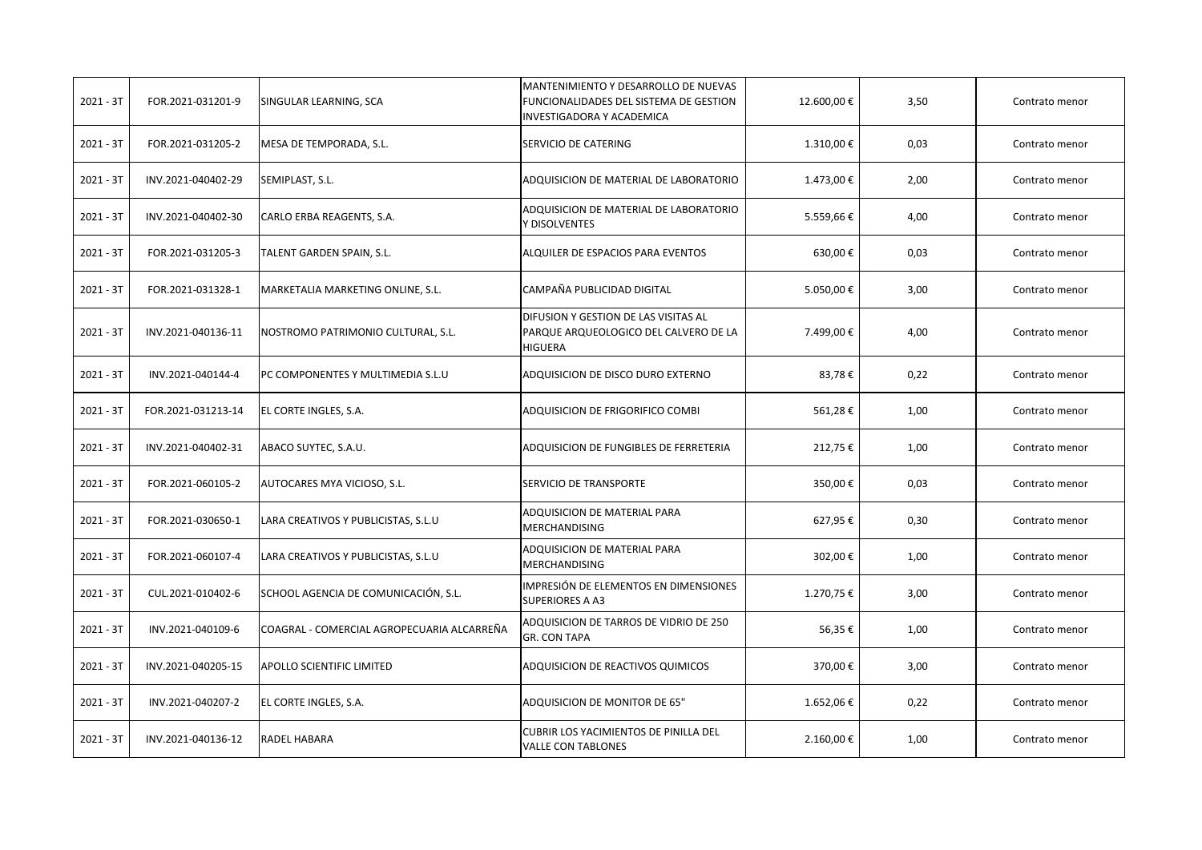| $2021 - 3T$ | FOR.2021-031201-9  | SINGULAR LEARNING, SCA                     | MANTENIMIENTO Y DESARROLLO DE NUEVAS<br>FUNCIONALIDADES DEL SISTEMA DE GESTION<br>INVESTIGADORA Y ACADEMICA | 12.600,00€ | 3,50 | Contrato menor |
|-------------|--------------------|--------------------------------------------|-------------------------------------------------------------------------------------------------------------|------------|------|----------------|
| $2021 - 3T$ | FOR.2021-031205-2  | MESA DE TEMPORADA, S.L.                    | SERVICIO DE CATERING                                                                                        | 1.310,00€  | 0,03 | Contrato menor |
| $2021 - 3T$ | INV.2021-040402-29 | SEMIPLAST, S.L.                            | ADQUISICION DE MATERIAL DE LABORATORIO                                                                      | 1.473,00 € | 2,00 | Contrato menor |
| $2021 - 3T$ | INV.2021-040402-30 | CARLO ERBA REAGENTS, S.A.                  | ADQUISICION DE MATERIAL DE LABORATORIO<br>Y DISOLVENTES                                                     | 5.559,66€  | 4,00 | Contrato menor |
| $2021 - 3T$ | FOR.2021-031205-3  | TALENT GARDEN SPAIN, S.L.                  | ALQUILER DE ESPACIOS PARA EVENTOS                                                                           | 630,00€    | 0,03 | Contrato menor |
| $2021 - 3T$ | FOR.2021-031328-1  | MARKETALIA MARKETING ONLINE, S.L.          | CAMPAÑA PUBLICIDAD DIGITAL                                                                                  | 5.050,00€  | 3,00 | Contrato menor |
| $2021 - 3T$ | INV.2021-040136-11 | NOSTROMO PATRIMONIO CULTURAL, S.L.         | DIFUSION Y GESTION DE LAS VISITAS AL<br>PARQUE ARQUEOLOGICO DEL CALVERO DE LA<br><b>HIGUERA</b>             | 7.499,00€  | 4,00 | Contrato menor |
| $2021 - 3T$ | INV.2021-040144-4  | PC COMPONENTES Y MULTIMEDIA S.L.U          | ADQUISICION DE DISCO DURO EXTERNO                                                                           | 83,78€     | 0,22 | Contrato menor |
| $2021 - 3T$ | FOR.2021-031213-14 | EL CORTE INGLES, S.A.                      | ADQUISICION DE FRIGORIFICO COMBI                                                                            | 561,28€    | 1,00 | Contrato menor |
| $2021 - 3T$ | INV.2021-040402-31 | ABACO SUYTEC, S.A.U.                       | ADQUISICION DE FUNGIBLES DE FERRETERIA                                                                      | 212,75€    | 1,00 | Contrato menor |
| $2021 - 3T$ | FOR.2021-060105-2  | AUTOCARES MYA VICIOSO, S.L.                | SERVICIO DE TRANSPORTE                                                                                      | 350,00€    | 0,03 | Contrato menor |
| $2021 - 3T$ | FOR.2021-030650-1  | LARA CREATIVOS Y PUBLICISTAS, S.L.U        | ADQUISICION DE MATERIAL PARA<br>MERCHANDISING                                                               | 627,95€    | 0,30 | Contrato menor |
| $2021 - 3T$ | FOR.2021-060107-4  | LARA CREATIVOS Y PUBLICISTAS, S.L.U        | ADQUISICION DE MATERIAL PARA<br>MERCHANDISING                                                               | 302,00€    | 1,00 | Contrato menor |
| $2021 - 3T$ | CUL.2021-010402-6  | SCHOOL AGENCIA DE COMUNICACIÓN, S.L.       | IMPRESIÓN DE ELEMENTOS EN DIMENSIONES<br><b>SUPERIORES A A3</b>                                             | 1.270,75€  | 3,00 | Contrato menor |
| $2021 - 3T$ | INV.2021-040109-6  | COAGRAL - COMERCIAL AGROPECUARIA ALCARREÑA | ADQUISICION DE TARROS DE VIDRIO DE 250<br><b>GR. CON TAPA</b>                                               | 56,35€     | 1,00 | Contrato menor |
| $2021 - 3T$ | INV.2021-040205-15 | <b>APOLLO SCIENTIFIC LIMITED</b>           | ADQUISICION DE REACTIVOS QUIMICOS                                                                           | 370,00€    | 3,00 | Contrato menor |
| $2021 - 3T$ | INV.2021-040207-2  | EL CORTE INGLES, S.A.                      | ADQUISICION DE MONITOR DE 65"                                                                               | 1.652,06 € | 0,22 | Contrato menor |
| $2021 - 3T$ | INV.2021-040136-12 | <b>RADEL HABARA</b>                        | CUBRIR LOS YACIMIENTOS DE PINILLA DEL<br><b>VALLE CON TABLONES</b>                                          | 2.160,00€  | 1,00 | Contrato menor |